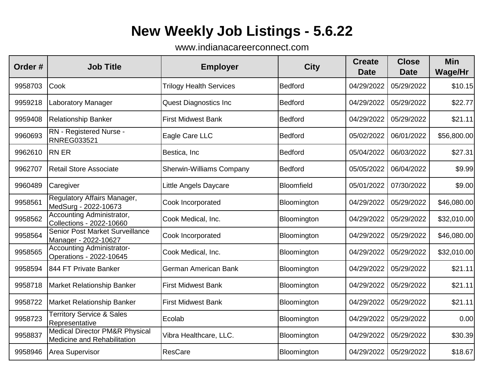## **New Weekly Job Listings - 5.6.22**

www.indianacareerconnect.com

| Order#  | <b>Job Title</b>                                                         | <b>Employer</b>                 | <b>City</b>       | <b>Create</b><br><b>Date</b> | <b>Close</b><br><b>Date</b> | <b>Min</b><br><b>Wage/Hr</b> |
|---------|--------------------------------------------------------------------------|---------------------------------|-------------------|------------------------------|-----------------------------|------------------------------|
| 9958703 | Cook                                                                     | <b>Trilogy Health Services</b>  | <b>Bedford</b>    | 04/29/2022                   | 05/29/2022                  | \$10.15                      |
| 9959218 | Laboratory Manager                                                       | <b>Quest Diagnostics Inc</b>    | <b>Bedford</b>    | 04/29/2022                   | 05/29/2022                  | \$22.77                      |
| 9959408 | <b>Relationship Banker</b>                                               | <b>First Midwest Bank</b>       | <b>Bedford</b>    | 04/29/2022                   | 05/29/2022                  | \$21.11                      |
| 9960693 | RN - Registered Nurse -<br><b>RNREG033521</b>                            | Eagle Care LLC                  | <b>Bedford</b>    | 05/02/2022                   | 06/01/2022                  | \$56,800.00                  |
| 9962610 | <b>RN ER</b>                                                             | Bestica, Inc                    | <b>Bedford</b>    | 05/04/2022                   | 06/03/2022                  | \$27.31                      |
| 9962707 | Retail Store Associate                                                   | <b>Sherwin-Williams Company</b> | <b>Bedford</b>    | 05/05/2022                   | 06/04/2022                  | \$9.99                       |
| 9960489 | Caregiver                                                                | Little Angels Daycare           | <b>Bloomfield</b> | 05/01/2022                   | 07/30/2022                  | \$9.00                       |
| 9958561 | Regulatory Affairs Manager,<br>MedSurg - 2022-10673                      | Cook Incorporated               | Bloomington       | 04/29/2022                   | 05/29/2022                  | \$46,080.00                  |
| 9958562 | Accounting Administrator,<br>Collections - 2022-10660                    | Cook Medical, Inc.              | Bloomington       | 04/29/2022                   | 05/29/2022                  | \$32,010.00                  |
| 9958564 | <b>Senior Post Market Surveillance</b><br>Manager - 2022-10627           | Cook Incorporated               | Bloomington       | 04/29/2022                   | 05/29/2022                  | \$46,080.00                  |
| 9958565 | <b>Accounting Administrator-</b><br>Operations - 2022-10645              | Cook Medical, Inc.              | Bloomington       | 04/29/2022                   | 05/29/2022                  | \$32,010.00                  |
| 9958594 | 844 FT Private Banker                                                    | German American Bank            | Bloomington       | 04/29/2022                   | 05/29/2022                  | \$21.11                      |
| 9958718 | <b>Market Relationship Banker</b>                                        | <b>First Midwest Bank</b>       | Bloomington       | 04/29/2022                   | 05/29/2022                  | \$21.11                      |
| 9958722 | <b>Market Relationship Banker</b>                                        | <b>First Midwest Bank</b>       | Bloomington       | 04/29/2022                   | 05/29/2022                  | \$21.11                      |
| 9958723 | <b>Territory Service &amp; Sales</b><br>Representative                   | Ecolab                          | Bloomington       | 04/29/2022                   | 05/29/2022                  | 0.00                         |
| 9958837 | <b>Medical Director PM&amp;R Physical</b><br>Medicine and Rehabilitation | Vibra Healthcare, LLC.          | Bloomington       | 04/29/2022                   | 05/29/2022                  | \$30.39                      |
| 9958946 | Area Supervisor                                                          | <b>ResCare</b>                  | Bloomington       | 04/29/2022                   | 05/29/2022                  | \$18.67                      |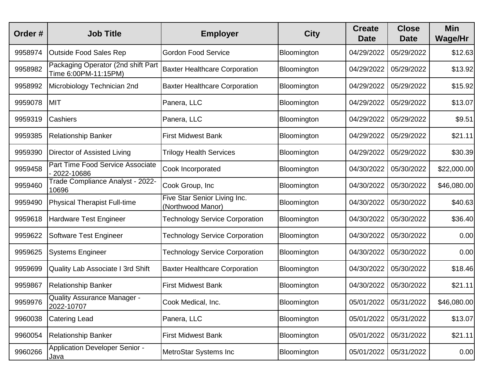| Order#  | <b>Job Title</b>                                           | <b>Employer</b>                                   | <b>City</b> | <b>Create</b><br><b>Date</b> | <b>Close</b><br><b>Date</b> | <b>Min</b><br><b>Wage/Hr</b> |
|---------|------------------------------------------------------------|---------------------------------------------------|-------------|------------------------------|-----------------------------|------------------------------|
| 9958974 | Outside Food Sales Rep                                     | <b>Gordon Food Service</b>                        | Bloomington | 04/29/2022                   | 05/29/2022                  | \$12.63                      |
| 9958982 | Packaging Operator (2nd shift Part<br>Time 6:00PM-11:15PM) | <b>Baxter Healthcare Corporation</b>              | Bloomington | 04/29/2022                   | 05/29/2022                  | \$13.92                      |
| 9958992 | Microbiology Technician 2nd                                | <b>Baxter Healthcare Corporation</b>              | Bloomington | 04/29/2022                   | 05/29/2022                  | \$15.92                      |
| 9959078 | <b>MIT</b>                                                 | Panera, LLC                                       | Bloomington | 04/29/2022                   | 05/29/2022                  | \$13.07                      |
| 9959319 | <b>Cashiers</b>                                            | Panera, LLC                                       | Bloomington | 04/29/2022                   | 05/29/2022                  | \$9.51                       |
| 9959385 | <b>Relationship Banker</b>                                 | <b>First Midwest Bank</b>                         | Bloomington | 04/29/2022                   | 05/29/2022                  | \$21.11                      |
| 9959390 | Director of Assisted Living                                | <b>Trilogy Health Services</b>                    | Bloomington | 04/29/2022                   | 05/29/2022                  | \$30.39                      |
| 9959458 | <b>Part Time Food Service Associate</b><br>2022-10686      | Cook Incorporated                                 | Bloomington | 04/30/2022                   | 05/30/2022                  | \$22,000.00                  |
| 9959460 | Trade Compliance Analyst - 2022-<br>10696                  | Cook Group, Inc                                   | Bloomington | 04/30/2022                   | 05/30/2022                  | \$46,080.00                  |
| 9959490 | <b>Physical Therapist Full-time</b>                        | Five Star Senior Living Inc.<br>(Northwood Manor) | Bloomington | 04/30/2022                   | 05/30/2022                  | \$40.63                      |
| 9959618 | <b>Hardware Test Engineer</b>                              | <b>Technology Service Corporation</b>             | Bloomington | 04/30/2022                   | 05/30/2022                  | \$36.40                      |
| 9959622 | Software Test Engineer                                     | <b>Technology Service Corporation</b>             | Bloomington | 04/30/2022                   | 05/30/2022                  | 0.00                         |
| 9959625 | <b>Systems Engineer</b>                                    | <b>Technology Service Corporation</b>             | Bloomington | 04/30/2022                   | 05/30/2022                  | 0.00                         |
| 9959699 | Quality Lab Associate I 3rd Shift                          | <b>Baxter Healthcare Corporation</b>              | Bloomington | 04/30/2022                   | 05/30/2022                  | \$18.46                      |
| 9959867 | <b>Relationship Banker</b>                                 | <b>First Midwest Bank</b>                         | Bloomington | 04/30/2022                   | 05/30/2022                  | \$21.11                      |
| 9959976 | Quality Assurance Manager -<br>2022-10707                  | Cook Medical, Inc.                                | Bloomington | 05/01/2022                   | 05/31/2022                  | \$46,080.00                  |
| 9960038 | <b>Catering Lead</b>                                       | Panera, LLC                                       | Bloomington | 05/01/2022                   | 05/31/2022                  | \$13.07                      |
| 9960054 | <b>Relationship Banker</b>                                 | <b>First Midwest Bank</b>                         | Bloomington | 05/01/2022                   | 05/31/2022                  | \$21.11                      |
| 9960266 | Application Developer Senior -<br>Java                     | MetroStar Systems Inc                             | Bloomington | 05/01/2022                   | 05/31/2022                  | 0.00                         |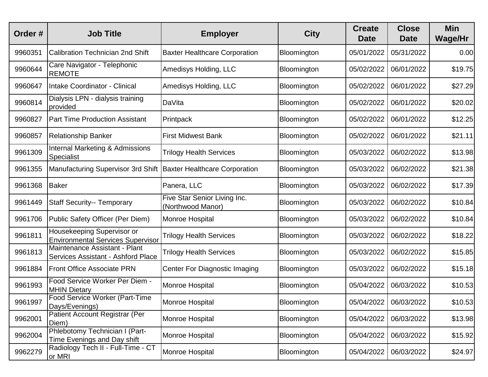| Order#  | <b>Job Title</b>                                                       | <b>Employer</b>                                   | <b>City</b> | <b>Create</b><br><b>Date</b> | <b>Close</b><br><b>Date</b> | <b>Min</b><br><b>Wage/Hr</b> |
|---------|------------------------------------------------------------------------|---------------------------------------------------|-------------|------------------------------|-----------------------------|------------------------------|
| 9960351 | <b>Calibration Technician 2nd Shift</b>                                | <b>Baxter Healthcare Corporation</b>              | Bloomington | 05/01/2022                   | 05/31/2022                  | 0.00                         |
| 9960644 | Care Navigator - Telephonic<br><b>REMOTE</b>                           | Amedisys Holding, LLC                             | Bloomington | 05/02/2022                   | 06/01/2022                  | \$19.75                      |
| 9960647 | Intake Coordinator - Clinical                                          | Amedisys Holding, LLC                             | Bloomington | 05/02/2022                   | 06/01/2022                  | \$27.29                      |
| 9960814 | Dialysis LPN - dialysis training<br>provided                           | <b>DaVita</b>                                     | Bloomington | 05/02/2022                   | 06/01/2022                  | \$20.02                      |
| 9960827 | <b>Part Time Production Assistant</b>                                  | Printpack                                         | Bloomington | 05/02/2022                   | 06/01/2022                  | \$12.25                      |
| 9960857 | <b>Relationship Banker</b>                                             | <b>First Midwest Bank</b>                         | Bloomington | 05/02/2022                   | 06/01/2022                  | \$21.11                      |
| 9961309 | <b>Internal Marketing &amp; Admissions</b><br>Specialist               | <b>Trilogy Health Services</b>                    | Bloomington | 05/03/2022                   | 06/02/2022                  | \$13.98                      |
| 9961355 | Manufacturing Supervisor 3rd Shift                                     | <b>Baxter Healthcare Corporation</b>              | Bloomington | 05/03/2022                   | 06/02/2022                  | \$21.38                      |
| 9961368 | <b>Baker</b>                                                           | Panera, LLC                                       | Bloomington | 05/03/2022                   | 06/02/2022                  | \$17.39                      |
| 9961449 | <b>Staff Security-- Temporary</b>                                      | Five Star Senior Living Inc.<br>(Northwood Manor) | Bloomington | 05/03/2022                   | 06/02/2022                  | \$10.84                      |
| 9961706 | Public Safety Officer (Per Diem)                                       | Monroe Hospital                                   | Bloomington | 05/03/2022                   | 06/02/2022                  | \$10.84                      |
| 9961811 | Housekeeping Supervisor or<br><b>Environmental Services Supervisor</b> | <b>Trilogy Health Services</b>                    | Bloomington | 05/03/2022                   | 06/02/2022                  | \$18.22                      |
| 9961813 | Maintenance Assistant - Plant<br>Services Assistant - Ashford Place    | <b>Trilogy Health Services</b>                    | Bloomington | 05/03/2022                   | 06/02/2022                  | \$15.85                      |
| 9961884 | <b>Front Office Associate PRN</b>                                      | <b>Center For Diagnostic Imaging</b>              | Bloomington | 05/03/2022                   | 06/02/2022                  | \$15.18                      |
| 9961993 | Food Service Worker Per Diem -<br><b>MHIN Dietary</b>                  | Monroe Hospital                                   | Bloomington | 05/04/2022                   | 06/03/2022                  | \$10.53                      |
| 9961997 | Food Service Worker (Part-Time<br>Days/Evenings)                       | Monroe Hospital                                   | Bloomington | 05/04/2022                   | 06/03/2022                  | \$10.53                      |
| 9962001 | Patient Account Registrar (Per<br>Diem)                                | Monroe Hospital                                   | Bloomington | 05/04/2022                   | 06/03/2022                  | \$13.98                      |
| 9962004 | Phlebotomy Technician I (Part-<br>Time Evenings and Day shift          | Monroe Hospital                                   | Bloomington | 05/04/2022                   | 06/03/2022                  | \$15.92                      |
| 9962279 | Radiology Tech II - Full-Time - CT<br>or MRI                           | Monroe Hospital                                   | Bloomington | 05/04/2022                   | 06/03/2022                  | \$24.97                      |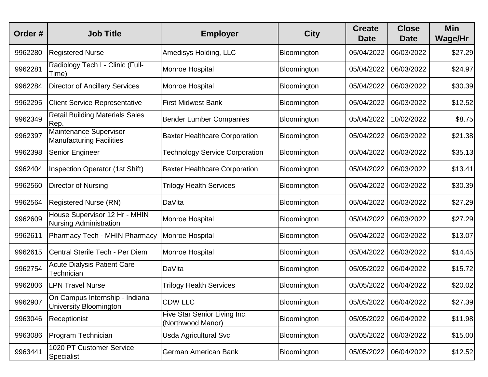| Order#  | <b>Job Title</b>                                               | <b>Employer</b>                                   | <b>City</b> | <b>Create</b><br><b>Date</b> | <b>Close</b><br><b>Date</b> | <b>Min</b><br>Wage/Hr |
|---------|----------------------------------------------------------------|---------------------------------------------------|-------------|------------------------------|-----------------------------|-----------------------|
| 9962280 | <b>Registered Nurse</b>                                        | Amedisys Holding, LLC                             | Bloomington | 05/04/2022                   | 06/03/2022                  | \$27.29               |
| 9962281 | Radiology Tech I - Clinic (Full-<br>Time)                      | Monroe Hospital                                   | Bloomington | 05/04/2022                   | 06/03/2022                  | \$24.97               |
| 9962284 | <b>Director of Ancillary Services</b>                          | Monroe Hospital                                   | Bloomington | 05/04/2022                   | 06/03/2022                  | \$30.39               |
| 9962295 | <b>Client Service Representative</b>                           | <b>First Midwest Bank</b>                         | Bloomington | 05/04/2022                   | 06/03/2022                  | \$12.52               |
| 9962349 | <b>Retail Building Materials Sales</b><br>Rep.                 | <b>Bender Lumber Companies</b>                    | Bloomington | 05/04/2022                   | 10/02/2022                  | \$8.75                |
| 9962397 | Maintenance Supervisor<br><b>Manufacturing Facilities</b>      | <b>Baxter Healthcare Corporation</b>              | Bloomington | 05/04/2022                   | 06/03/2022                  | \$21.38               |
| 9962398 | <b>Senior Engineer</b>                                         | <b>Technology Service Corporation</b>             | Bloomington | 05/04/2022                   | 06/03/2022                  | \$35.13               |
| 9962404 | <b>Inspection Operator (1st Shift)</b>                         | <b>Baxter Healthcare Corporation</b>              | Bloomington | 05/04/2022                   | 06/03/2022                  | \$13.41               |
| 9962560 | Director of Nursing                                            | <b>Trilogy Health Services</b>                    | Bloomington | 05/04/2022                   | 06/03/2022                  | \$30.39               |
| 9962564 | <b>Registered Nurse (RN)</b>                                   | DaVita                                            | Bloomington | 05/04/2022                   | 06/03/2022                  | \$27.29               |
| 9962609 | House Supervisor 12 Hr - MHIN<br><b>Nursing Administration</b> | Monroe Hospital                                   | Bloomington | 05/04/2022                   | 06/03/2022                  | \$27.29               |
| 9962611 | <b>Pharmacy Tech - MHIN Pharmacy</b>                           | Monroe Hospital                                   | Bloomington | 05/04/2022                   | 06/03/2022                  | \$13.07               |
| 9962615 | Central Sterile Tech - Per Diem                                | Monroe Hospital                                   | Bloomington | 05/04/2022                   | 06/03/2022                  | \$14.45               |
| 9962754 | <b>Acute Dialysis Patient Care</b><br>Technician               | DaVita                                            | Bloomington | 05/05/2022                   | 06/04/2022                  | \$15.72               |
| 9962806 | <b>LPN Travel Nurse</b>                                        | <b>Trilogy Health Services</b>                    | Bloomington | 05/05/2022                   | 06/04/2022                  | \$20.02               |
| 9962907 | On Campus Internship - Indiana<br>University Bloomington       | <b>CDW LLC</b>                                    | Bloomington | 05/05/2022                   | 06/04/2022                  | \$27.39               |
| 9963046 | Receptionist                                                   | Five Star Senior Living Inc.<br>(Northwood Manor) | Bloomington | 05/05/2022                   | 06/04/2022                  | \$11.98               |
| 9963086 | Program Technician                                             | Usda Agricultural Svc                             | Bloomington | 05/05/2022                   | 08/03/2022                  | \$15.00               |
| 9963441 | 1020 PT Customer Service<br>Specialist                         | German American Bank                              | Bloomington | 05/05/2022                   | 06/04/2022                  | \$12.52               |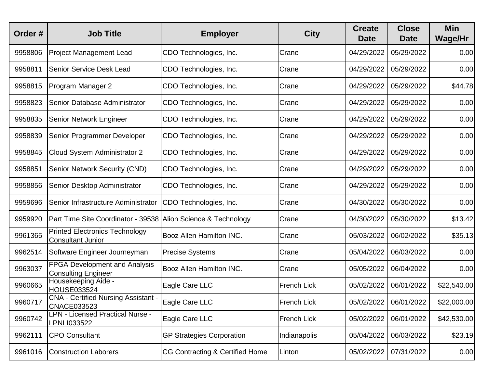| Order#  | <b>Job Title</b>                                                   | <b>Employer</b>                  | <b>City</b>        | <b>Create</b><br><b>Date</b> | <b>Close</b><br><b>Date</b> | <b>Min</b><br><b>Wage/Hr</b> |
|---------|--------------------------------------------------------------------|----------------------------------|--------------------|------------------------------|-----------------------------|------------------------------|
| 9958806 | <b>Project Management Lead</b>                                     | CDO Technologies, Inc.           | Crane              | 04/29/2022                   | 05/29/2022                  | 0.00                         |
| 9958811 | Senior Service Desk Lead                                           | CDO Technologies, Inc.           | Crane              | 04/29/2022                   | 05/29/2022                  | 0.00                         |
| 9958815 | Program Manager 2                                                  | CDO Technologies, Inc.           | Crane              | 04/29/2022                   | 05/29/2022                  | \$44.78                      |
| 9958823 | Senior Database Administrator                                      | CDO Technologies, Inc.           | Crane              | 04/29/2022                   | 05/29/2022                  | 0.00                         |
| 9958835 | Senior Network Engineer                                            | CDO Technologies, Inc.           | Crane              | 04/29/2022                   | 05/29/2022                  | 0.00                         |
| 9958839 | Senior Programmer Developer                                        | CDO Technologies, Inc.           | Crane              | 04/29/2022                   | 05/29/2022                  | 0.00                         |
| 9958845 | Cloud System Administrator 2                                       | CDO Technologies, Inc.           | Crane              | 04/29/2022                   | 05/29/2022                  | 0.00                         |
| 9958851 | <b>Senior Network Security (CND)</b>                               | CDO Technologies, Inc.           | Crane              | 04/29/2022                   | 05/29/2022                  | 0.00                         |
| 9958856 | Senior Desktop Administrator                                       | CDO Technologies, Inc.           | Crane              | 04/29/2022                   | 05/29/2022                  | 0.00                         |
| 9959696 | Senior Infrastructure Administrator                                | CDO Technologies, Inc.           | Crane              | 04/30/2022                   | 05/30/2022                  | 0.00                         |
| 9959920 | Part Time Site Coordinator - 39538 Alion Science & Technology      |                                  | Crane              | 04/30/2022                   | 05/30/2022                  | \$13.42                      |
| 9961365 | <b>Printed Electronics Technology</b><br><b>Consultant Junior</b>  | <b>Booz Allen Hamilton INC.</b>  | Crane              | 05/03/2022                   | 06/02/2022                  | \$35.13                      |
| 9962514 | Software Engineer Journeyman                                       | <b>Precise Systems</b>           | Crane              | 05/04/2022                   | 06/03/2022                  | 0.00                         |
| 9963037 | <b>FPGA Development and Analysis</b><br><b>Consulting Engineer</b> | Booz Allen Hamilton INC.         | Crane              | 05/05/2022                   | 06/04/2022                  | 0.00                         |
| 9960665 | Housekeeping Aide -<br>HOUSE033524                                 | Eagle Care LLC                   | <b>French Lick</b> | 05/02/2022                   | 06/01/2022                  | \$22,540.00                  |
| 9960717 | <b>CNA</b> - Certified Nursing Assistant<br>CNACE033523            | Eagle Care LLC                   | <b>French Lick</b> | 05/02/2022                   | 06/01/2022                  | \$22,000.00                  |
| 9960742 | <b>LPN - Licensed Practical Nurse -</b><br>LPNLI033522             | Eagle Care LLC                   | French Lick        | 05/02/2022                   | 06/01/2022                  | \$42,530.00                  |
| 9962111 | <b>CPO Consultant</b>                                              | <b>GP Strategies Corporation</b> | Indianapolis       | 05/04/2022                   | 06/03/2022                  | \$23.19                      |
| 9961016 | <b>Construction Laborers</b>                                       | CG Contracting & Certified Home  | Linton             | 05/02/2022                   | 07/31/2022                  | 0.00                         |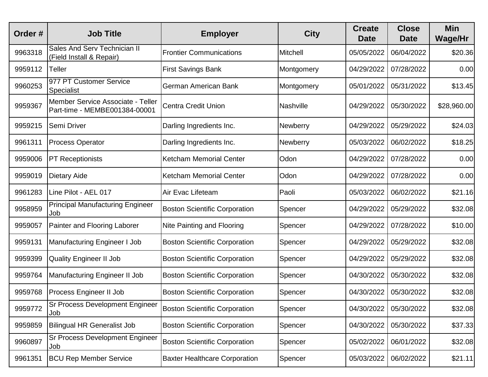| Order#  | <b>Job Title</b>                                                   | <b>Employer</b>                      | <b>City</b>     | <b>Create</b><br><b>Date</b> | <b>Close</b><br><b>Date</b> | <b>Min</b><br>Wage/Hr |
|---------|--------------------------------------------------------------------|--------------------------------------|-----------------|------------------------------|-----------------------------|-----------------------|
| 9963318 | <b>Sales And Serv Technician II</b><br>(Field Install & Repair)    | <b>Frontier Communications</b>       | Mitchell        | 05/05/2022                   | 06/04/2022                  | \$20.36               |
| 9959112 | Teller                                                             | <b>First Savings Bank</b>            | Montgomery      | 04/29/2022                   | 07/28/2022                  | 0.00                  |
| 9960253 | 977 PT Customer Service<br>Specialist                              | German American Bank                 | Montgomery      | 05/01/2022                   | 05/31/2022                  | \$13.45               |
| 9959367 | Member Service Associate - Teller<br>Part-time - MEMBE001384-00001 | Centra Credit Union                  | Nashville       | 04/29/2022                   | 05/30/2022                  | \$28,960.00           |
| 9959215 | Semi Driver                                                        | Darling Ingredients Inc.             | <b>Newberry</b> | 04/29/2022                   | 05/29/2022                  | \$24.03               |
| 9961311 | <b>Process Operator</b>                                            | Darling Ingredients Inc.             | <b>Newberry</b> | 05/03/2022                   | 06/02/2022                  | \$18.25               |
| 9959006 | <b>PT Receptionists</b>                                            | <b>Ketcham Memorial Center</b>       | Odon            | 04/29/2022                   | 07/28/2022                  | 0.00                  |
| 9959019 | <b>Dietary Aide</b>                                                | <b>Ketcham Memorial Center</b>       | Odon            | 04/29/2022                   | 07/28/2022                  | 0.00                  |
| 9961283 | Line Pilot - AEL 017                                               | Air Evac Lifeteam                    | Paoli           | 05/03/2022                   | 06/02/2022                  | \$21.16               |
| 9958959 | <b>Principal Manufacturing Engineer</b><br>Job                     | <b>Boston Scientific Corporation</b> | Spencer         | 04/29/2022                   | 05/29/2022                  | \$32.08               |
| 9959057 | Painter and Flooring Laborer                                       | Nite Painting and Flooring           | Spencer         | 04/29/2022                   | 07/28/2022                  | \$10.00               |
| 9959131 | Manufacturing Engineer I Job                                       | <b>Boston Scientific Corporation</b> | Spencer         | 04/29/2022                   | 05/29/2022                  | \$32.08               |
| 9959399 | <b>Quality Engineer II Job</b>                                     | <b>Boston Scientific Corporation</b> | Spencer         | 04/29/2022                   | 05/29/2022                  | \$32.08               |
| 9959764 | Manufacturing Engineer II Job                                      | <b>Boston Scientific Corporation</b> | Spencer         | 04/30/2022                   | 05/30/2022                  | \$32.08               |
| 9959768 | <b>Process Engineer II Job</b>                                     | <b>Boston Scientific Corporation</b> | Spencer         | 04/30/2022                   | 05/30/2022                  | \$32.08               |
| 9959772 | <b>Sr Process Development Engineer</b><br>Job                      | <b>Boston Scientific Corporation</b> | Spencer         | 04/30/2022                   | 05/30/2022                  | \$32.08               |
| 9959859 | Bilingual HR Generalist Job                                        | <b>Boston Scientific Corporation</b> | Spencer         | 04/30/2022                   | 05/30/2022                  | \$37.33               |
| 9960897 | <b>Sr Process Development Engineer</b><br>Job                      | <b>Boston Scientific Corporation</b> | Spencer         | 05/02/2022                   | 06/01/2022                  | \$32.08               |
| 9961351 | <b>BCU Rep Member Service</b>                                      | <b>Baxter Healthcare Corporation</b> | Spencer         | 05/03/2022                   | 06/02/2022                  | \$21.11               |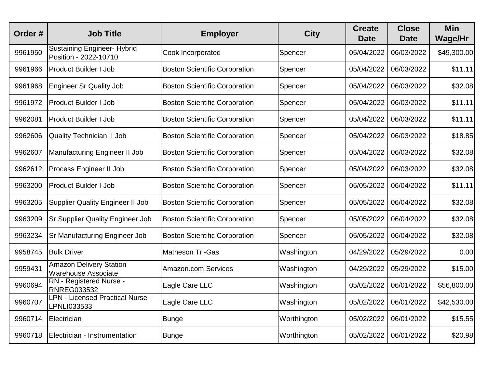| Order#  | <b>Job Title</b>                                             | <b>Employer</b>                      | <b>City</b> | <b>Create</b><br><b>Date</b> | <b>Close</b><br><b>Date</b> | <b>Min</b><br>Wage/Hr |
|---------|--------------------------------------------------------------|--------------------------------------|-------------|------------------------------|-----------------------------|-----------------------|
| 9961950 | <b>Sustaining Engineer- Hybrid</b><br>Position - 2022-10710  | Cook Incorporated                    | Spencer     | 05/04/2022                   | 06/03/2022                  | \$49,300.00           |
| 9961966 | <b>Product Builder I Job</b>                                 | <b>Boston Scientific Corporation</b> | Spencer     | 05/04/2022                   | 06/03/2022                  | \$11.11               |
| 9961968 | <b>Engineer Sr Quality Job</b>                               | <b>Boston Scientific Corporation</b> | Spencer     | 05/04/2022                   | 06/03/2022                  | \$32.08               |
| 9961972 | <b>Product Builder I Job</b>                                 | <b>Boston Scientific Corporation</b> | Spencer     | 05/04/2022                   | 06/03/2022                  | \$11.11               |
| 9962081 | <b>Product Builder I Job</b>                                 | <b>Boston Scientific Corporation</b> | Spencer     | 05/04/2022                   | 06/03/2022                  | \$11.11               |
| 9962606 | <b>Quality Technician II Job</b>                             | <b>Boston Scientific Corporation</b> | Spencer     | 05/04/2022                   | 06/03/2022                  | \$18.85               |
| 9962607 | Manufacturing Engineer II Job                                | <b>Boston Scientific Corporation</b> | Spencer     | 05/04/2022                   | 06/03/2022                  | \$32.08               |
| 9962612 | Process Engineer II Job                                      | <b>Boston Scientific Corporation</b> | Spencer     | 05/04/2022                   | 06/03/2022                  | \$32.08               |
| 9963200 | <b>Product Builder I Job</b>                                 | <b>Boston Scientific Corporation</b> | Spencer     | 05/05/2022                   | 06/04/2022                  | \$11.11               |
| 9963205 | Supplier Quality Engineer II Job                             | <b>Boston Scientific Corporation</b> | Spencer     | 05/05/2022                   | 06/04/2022                  | \$32.08               |
| 9963209 | <b>Sr Supplier Quality Engineer Job</b>                      | <b>Boston Scientific Corporation</b> | Spencer     | 05/05/2022                   | 06/04/2022                  | \$32.08               |
| 9963234 | Sr Manufacturing Engineer Job                                | <b>Boston Scientific Corporation</b> | Spencer     | 05/05/2022                   | 06/04/2022                  | \$32.08               |
| 9958745 | <b>Bulk Driver</b>                                           | <b>Matheson Tri-Gas</b>              | Washington  | 04/29/2022                   | 05/29/2022                  | 0.00                  |
| 9959431 | <b>Amazon Delivery Station</b><br><b>Warehouse Associate</b> | <b>Amazon.com Services</b>           | Washington  | 04/29/2022                   | 05/29/2022                  | \$15.00               |
| 9960694 | RN - Registered Nurse -<br><b>RNREG033532</b>                | Eagle Care LLC                       | Washington  | 05/02/2022                   | 06/01/2022                  | \$56,800.00           |
| 9960707 | <b>LPN - Licensed Practical Nurse -</b><br>LPNLI033533       | Eagle Care LLC                       | Washington  | 05/02/2022                   | 06/01/2022                  | \$42,530.00           |
| 9960714 | Electrician                                                  | <b>Bunge</b>                         | Worthington | 05/02/2022                   | 06/01/2022                  | \$15.55               |
| 9960718 | Electrician - Instrumentation                                | <b>Bunge</b>                         | Worthington | 05/02/2022                   | 06/01/2022                  | \$20.98               |